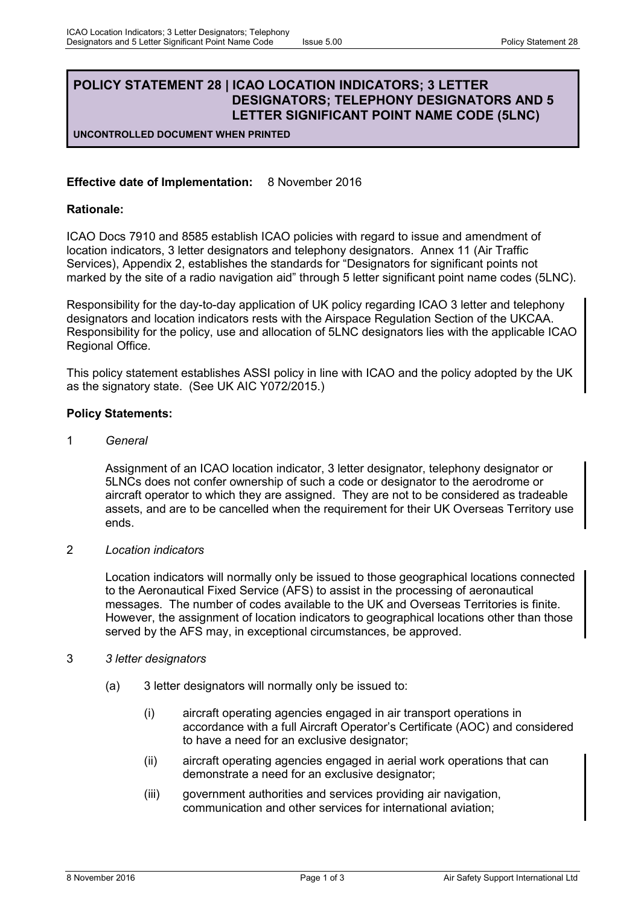## **POLICY STATEMENT 28 | ICAO LOCATION INDICATORS; 3 LETTER DESIGNATORS; TELEPHONY DESIGNATORS AND 5 LETTER SIGNIFICANT POINT NAME CODE (5LNC)**

**UNCONTROLLED DOCUMENT WHEN PRINTED**

## **Effective date of Implementation:** 8 November 2016

## **Rationale:**

ICAO Docs 7910 and 8585 establish ICAO policies with regard to issue and amendment of location indicators, 3 letter designators and telephony designators. Annex 11 (Air Traffic Services), Appendix 2, establishes the standards for "Designators for significant points not marked by the site of a radio navigation aid" through 5 letter significant point name codes (5LNC).

Responsibility for the day-to-day application of UK policy regarding ICAO 3 letter and telephony designators and location indicators rests with the Airspace Regulation Section of the UKCAA. Responsibility for the policy, use and allocation of 5LNC designators lies with the applicable ICAO Regional Office.

This policy statement establishes ASSI policy in line with ICAO and the policy adopted by the UK as the signatory state. (See UK AIC Y072/2015.)

## **Policy Statements:**

1 *General*

Assignment of an ICAO location indicator, 3 letter designator, telephony designator or 5LNCs does not confer ownership of such a code or designator to the aerodrome or aircraft operator to which they are assigned. They are not to be considered as tradeable assets, and are to be cancelled when the requirement for their UK Overseas Territory use ends.

2 *Location indicators*

Location indicators will normally only be issued to those geographical locations connected to the Aeronautical Fixed Service (AFS) to assist in the processing of aeronautical messages. The number of codes available to the UK and Overseas Territories is finite. However, the assignment of location indicators to geographical locations other than those served by the AFS may, in exceptional circumstances, be approved.

- 3 *3 letter designators*
	- (a) 3 letter designators will normally only be issued to:
		- (i) aircraft operating agencies engaged in air transport operations in accordance with a full Aircraft Operator's Certificate (AOC) and considered to have a need for an exclusive designator;
		- (ii) aircraft operating agencies engaged in aerial work operations that can demonstrate a need for an exclusive designator;
		- (iii) government authorities and services providing air navigation, communication and other services for international aviation;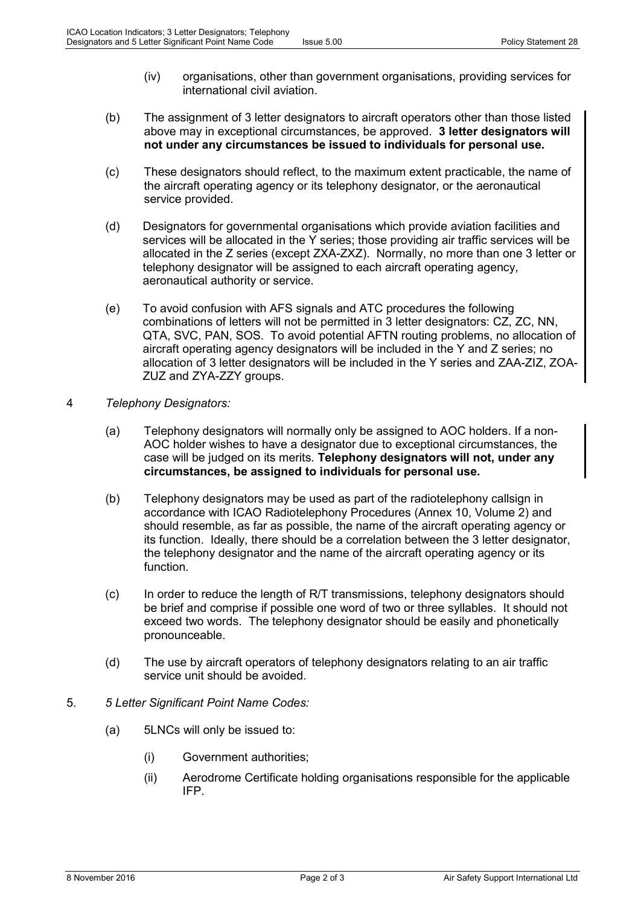- (iv) organisations, other than government organisations, providing services for international civil aviation.
- (b) The assignment of 3 letter designators to aircraft operators other than those listed above may in exceptional circumstances, be approved. **3 letter designators will not under any circumstances be issued to individuals for personal use.**
- (c) These designators should reflect, to the maximum extent practicable, the name of the aircraft operating agency or its telephony designator, or the aeronautical service provided.
- (d) Designators for governmental organisations which provide aviation facilities and services will be allocated in the Y series; those providing air traffic services will be allocated in the Z series (except ZXA-ZXZ). Normally, no more than one 3 letter or telephony designator will be assigned to each aircraft operating agency, aeronautical authority or service.
- (e) To avoid confusion with AFS signals and ATC procedures the following combinations of letters will not be permitted in 3 letter designators: CZ, ZC, NN, QTA, SVC, PAN, SOS. To avoid potential AFTN routing problems, no allocation of aircraft operating agency designators will be included in the Y and Z series; no allocation of 3 letter designators will be included in the Y series and ZAA-ZIZ, ZOA-ZUZ and ZYA-ZZY groups.
- 4 *Telephony Designators:*
	- (a) Telephony designators will normally only be assigned to AOC holders. If a non-AOC holder wishes to have a designator due to exceptional circumstances, the case will be judged on its merits. **Telephony designators will not, under any circumstances, be assigned to individuals for personal use.**
	- (b) Telephony designators may be used as part of the radiotelephony callsign in accordance with ICAO Radiotelephony Procedures (Annex 10, Volume 2) and should resemble, as far as possible, the name of the aircraft operating agency or its function. Ideally, there should be a correlation between the 3 letter designator, the telephony designator and the name of the aircraft operating agency or its function.
	- (c) In order to reduce the length of R/T transmissions, telephony designators should be brief and comprise if possible one word of two or three syllables. It should not exceed two words. The telephony designator should be easily and phonetically pronounceable.
	- (d) The use by aircraft operators of telephony designators relating to an air traffic service unit should be avoided.
- 5. *5 Letter Significant Point Name Codes:*
	- (a) 5LNCs will only be issued to:
		- (i) Government authorities;
		- (ii) Aerodrome Certificate holding organisations responsible for the applicable IFP.